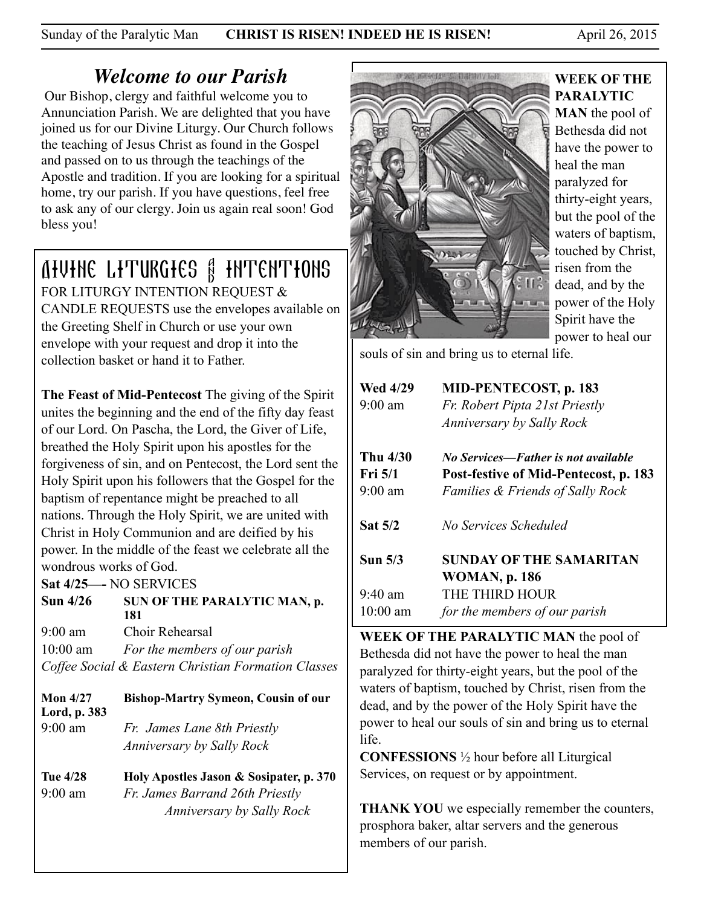Sunday of the Paralytic Man **CHRIST IS RISEN! INDEED HE IS RISEN!** April 26, 2015

# *Welcome to our Parish*

 Our Bishop, clergy and faithful welcome you to Annunciation Parish. We are delighted that you have joined us for our Divine Liturgy. Our Church follows the teaching of Jesus Christ as found in the Gospel and passed on to us through the teachings of the Apostle and tradition. If you are looking for a spiritual home, try our parish. If you have questions, feel free to ask any of our clergy. Join us again real soon! God bless you!

# Divine Liturgies & Intentions

FOR LITURGY INTENTION REQUEST & CANDLE REQUESTS use the envelopes available on the Greeting Shelf in Church or use your own envelope with your request and drop it into the collection basket or hand it to Father.

**The Feast of Mid-Pentecost** The giving of the Spirit unites the beginning and the end of the fifty day feast of our Lord. On Pascha, the Lord, the Giver of Life, breathed the Holy Spirit upon his apostles for the forgiveness of sin, and on Pentecost, the Lord sent the Holy Spirit upon his followers that the Gospel for the baptism of repentance might be preached to all nations. Through the Holy Spirit, we are united with Christ in Holy Communion and are deified by his power. In the middle of the feast we celebrate all the wondrous works of God.

**Sat 4/25—-** NO SERVICES

Sun 4/26 SUN OF THE PARALYTIC MAN, p.  **181**

9:00 am Choir Rehearsal 10:00 am *For the members of our parish Coffee Social & Eastern Christian Formation Classes*

**Mon 4/27 Bishop-Martry Symeon, Cousin of our Lord, p. 383** 9:00 am *Fr. James Lane 8th Priestly Anniversary by Sally Rock* 

**Tue 4/28 Holy Apostles Jason & Sosipater, p. 370**  9:00 am *Fr. James Barrand 26th Priestly Anniversary by Sally Rock* 



## **WEEK OF THE PARALYTIC**

**MAN** the pool of Bethesda did not have the power to heal the man paralyzed for thirty-eight years, but the pool of the waters of baptism, touched by Christ, risen from the dead, and by the power of the Holy Spirit have the power to heal our

souls of sin and bring us to eternal life.

| <b>Wed 4/29</b><br>$9:00 \text{ am}$ | MID-PENTECOST, p. 183<br>Fr. Robert Pipta 21st Priestly<br>Anniversary by Sally Rock |  |
|--------------------------------------|--------------------------------------------------------------------------------------|--|
| Thu 4/30                             | No Services—Father is not available                                                  |  |
| Fri 5/1                              | Post-festive of Mid-Pentecost, p. 183                                                |  |
| $9:00 \text{ am}$                    | <b>Families &amp; Friends of Sally Rock</b>                                          |  |
| Sat 5/2                              | No Services Scheduled                                                                |  |
| Sun <sub>5/3</sub>                   | SUNDAY OF THE SAMARITAN                                                              |  |
|                                      | <b>WOMAN, p. 186</b>                                                                 |  |
| $9:40 \text{ am}$                    | THE THIRD HOUR                                                                       |  |
| $10:00$ am                           | for the members of our parish                                                        |  |

**WEEK OF THE PARALYTIC MAN** the pool of Bethesda did not have the power to heal the man paralyzed for thirty-eight years, but the pool of the waters of baptism, touched by Christ, risen from the dead, and by the power of the Holy Spirit have the power to heal our souls of sin and bring us to eternal life.

**CONFESSIONS** ½ hour before all Liturgical Services, on request or by appointment.

**THANK YOU** we especially remember the counters, prosphora baker, altar servers and the generous members of our parish.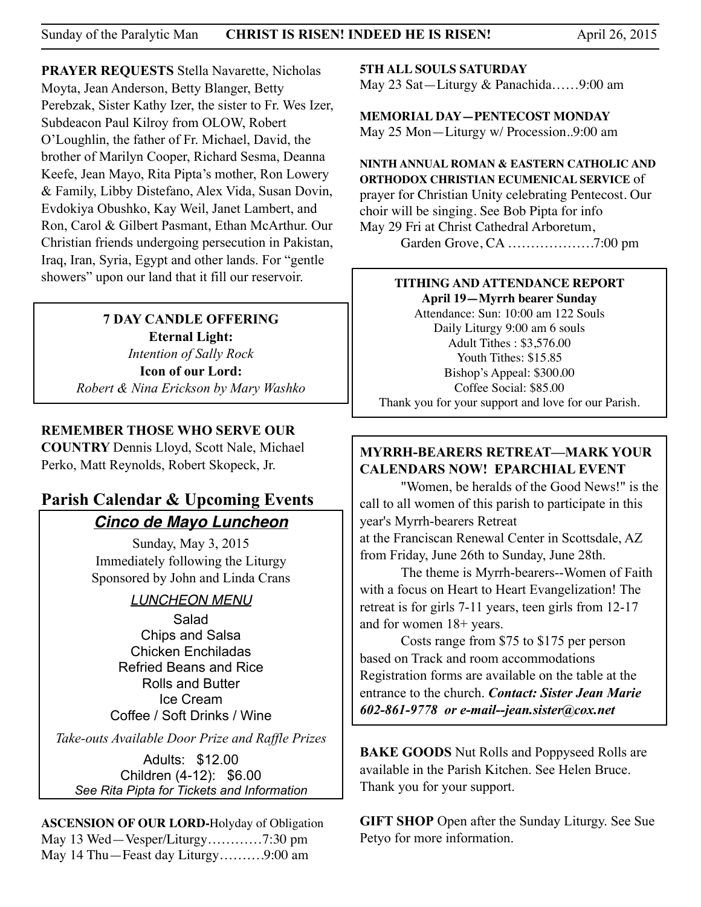**PRAYER REQUESTS** Stella Navarette, Nicholas Moyta, Jean Anderson, Betty Blanger, Betty Perebzak, Sister Kathy Izer, the sister to Fr. Wes Izer, Subdeacon Paul Kilroy from OLOW, Robert O'Loughlin, the father of Fr. Michael, David, the brother of Marilyn Cooper, Richard Sesma, Deanna Keefe, Jean Mayo, Rita Pipta's mother, Ron Lowery & Family, Libby Distefano, Alex Vida, Susan Dovin, Evdokiya Obushko, Kay Weil, Janet Lambert, and Ron, Carol & Gilbert Pasmant, Ethan McArthur. Our Christian friends undergoing persecution in Pakistan, Iraq, Iran, Syria, Egypt and other lands. For "gentle showers" upon our land that it fill our reservoir.

#### **7 DAY CANDLE OFFERING Eternal Light:**  *Intention of Sally Rock*  **Icon of our Lord:**  *Robert & Nina Erickson by Mary Washko*

#### **REMEMBER THOSE WHO SERVE OUR**

**COUNTRY** Dennis Lloyd, Scott Nale, Michael Perko, Matt Reynolds, Robert Skopeck, Jr.

## **Parish Calendar & Upcoming Events** *Cinco de Mayo Luncheon*

Sunday, May 3, 2015 Immediately following the Liturgy Sponsored by John and Linda Crans

### *LUNCHEON MENU*

Salad Chips and Salsa Chicken Enchiladas Refried Beans and Rice Rolls and Butter Ice Cream Coffee / Soft Drinks / Wine

*Take-outs Available Door Prize and Raffle Prizes* 

Adults: \$12.00 Children (4-12): \$6.00 *See Rita Pipta for Tickets and Information*

**ASCENSION OF OUR LORD-**Holyday of Obligation May 13 Wed—Vesper/Liturgy…………7:30 pm May 14 Thu—Feast day Liturgy……….9:00 am

**5TH ALL SOULS SATURDAY** 

May 23 Sat—Liturgy & Panachida……9:00 am

**MEMORIAL DAY—PENTECOST MONDAY** May 25 Mon—Liturgy w/ Procession..9:00 am

**NINTH ANNUAL ROMAN & EASTERN CATHOLIC AND ORTHODOX CHRISTIAN ECUMENICAL SERVICE** of prayer for Christian Unity celebrating Pentecost. Our choir will be singing. See Bob Pipta for info May 29 Fri at Christ Cathedral Arboretum, Garden Grove, CA ……………….7:00 pm

#### **TITHING AND ATTENDANCE REPORT April 19—Myrrh bearer Sunday**

Attendance: Sun: 10:00 am 122 Souls Daily Liturgy 9:00 am 6 souls Adult Tithes : \$3,576.00 Youth Tithes: \$15.85 Bishop's Appeal: \$300.00 Coffee Social: \$85.00 Thank you for your support and love for our Parish.

## **MYRRH-BEARERS RETREAT—MARK YOUR CALENDARS NOW! EPARCHIAL EVENT**

 "Women, be heralds of the Good News!" is the call to all women of this parish to participate in this year's Myrrh-bearers Retreat at the Franciscan Renewal Center in Scottsdale, AZ from Friday, June 26th to Sunday, June 28th.

 The theme is Myrrh-bearers--Women of Faith with a focus on Heart to Heart Evangelization! The retreat is for girls 7-11 years, teen girls from 12-17 and for women 18+ years.

 Costs range from \$75 to \$175 per person based on Track and room accommodations Registration forms are available on the table at the entrance to the church. *Contact: Sister Jean Marie 602-861-9778 or e-mail--jean.sister@cox.net*

**BAKE GOODS** Nut Rolls and Poppyseed Rolls are available in the Parish Kitchen. See Helen Bruce. Thank you for your support.

**GIFT SHOP** Open after the Sunday Liturgy. See Sue Petyo for more information.